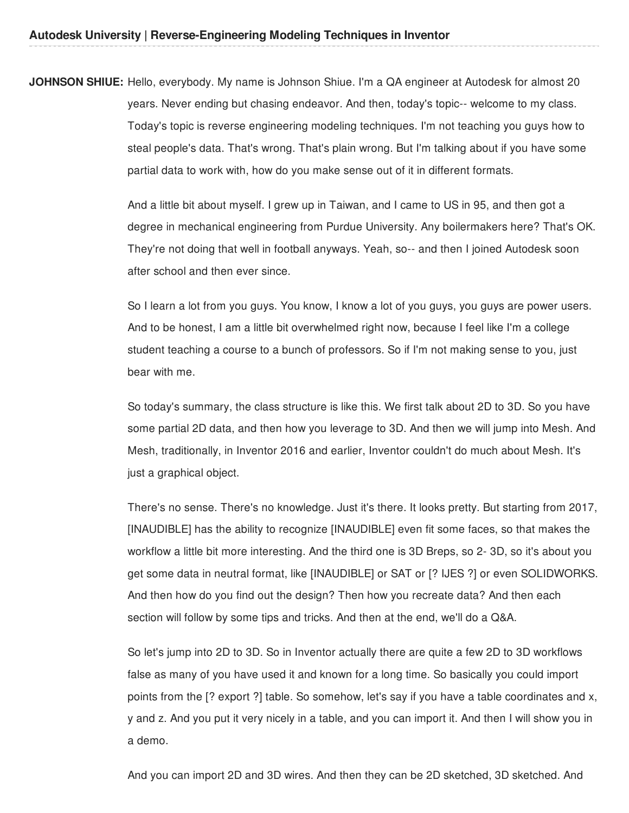**JOHNSON SHIUE:** Hello, everybody. My name is Johnson Shiue. I'm a QA engineer at Autodesk for almost 20 years. Never ending but chasing endeavor. And then, today's topic-- welcome to my class. Today's topic is reverse engineering modeling techniques. I'm not teaching you guys how to steal people's data. That's wrong. That's plain wrong. But I'm talking about if you have some partial data to work with, how do you make sense out of it in different formats.

> And a little bit about myself. I grew up in Taiwan, and I came to US in 95, and then got a degree in mechanical engineering from Purdue University. Any boilermakers here? That's OK. They're not doing that well in football anyways. Yeah, so-- and then I joined Autodesk soon after school and then ever since.

> So I learn a lot from you guys. You know, I know a lot of you guys, you guys are power users. And to be honest, I am a little bit overwhelmed right now, because I feel like I'm a college student teaching a course to a bunch of professors. So if I'm not making sense to you, just bear with me.

> So today's summary, the class structure is like this. We first talk about 2D to 3D. So you have some partial 2D data, and then how you leverage to 3D. And then we will jump into Mesh. And Mesh, traditionally, in Inventor 2016 and earlier, Inventor couldn't do much about Mesh. It's just a graphical object.

> There's no sense. There's no knowledge. Just it's there. It looks pretty. But starting from 2017, [INAUDIBLE] has the ability to recognize [INAUDIBLE] even fit some faces, so that makes the workflow a little bit more interesting. And the third one is 3D Breps, so 2- 3D, so it's about you get some data in neutral format, like [INAUDIBLE] or SAT or [? IJES ?] or even SOLIDWORKS. And then how do you find out the design? Then how you recreate data? And then each section will follow by some tips and tricks. And then at the end, we'll do a Q&A.

> So let's jump into 2D to 3D. So in Inventor actually there are quite a few 2D to 3D workflows false as many of you have used it and known for a long time. So basically you could import points from the [? export ?] table. So somehow, let's say if you have a table coordinates and x, y and z. And you put it very nicely in a table, and you can import it. And then I will show you in a demo.

And you can import 2D and 3D wires. And then they can be 2D sketched, 3D sketched. And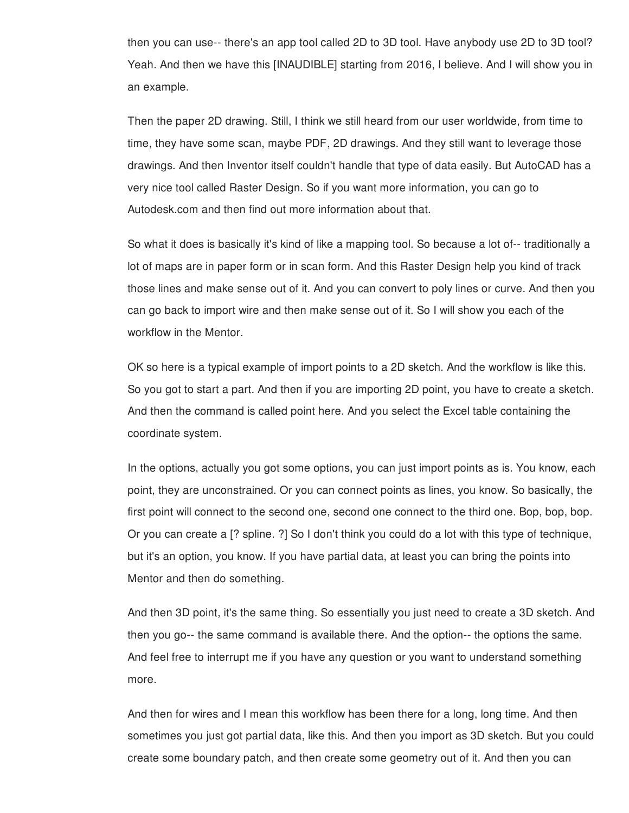then you can use-- there's an app tool called 2D to 3D tool. Have anybody use 2D to 3D tool? Yeah. And then we have this [INAUDIBLE] starting from 2016, I believe. And I will show you in an example.

Then the paper 2D drawing. Still, I think we still heard from our user worldwide, from time to time, they have some scan, maybe PDF, 2D drawings. And they still want to leverage those drawings. And then Inventor itself couldn't handle that type of data easily. But AutoCAD has a very nice tool called Raster Design. So if you want more information, you can go to Autodesk.com and then find out more information about that.

So what it does is basically it's kind of like a mapping tool. So because a lot of-- traditionally a lot of maps are in paper form or in scan form. And this Raster Design help you kind of track those lines and make sense out of it. And you can convert to poly lines or curve. And then you can go back to import wire and then make sense out of it. So I will show you each of the workflow in the Mentor.

OK so here is a typical example of import points to a 2D sketch. And the workflow is like this. So you got to start a part. And then if you are importing 2D point, you have to create a sketch. And then the command is called point here. And you select the Excel table containing the coordinate system.

In the options, actually you got some options, you can just import points as is. You know, each point, they are unconstrained. Or you can connect points as lines, you know. So basically, the first point will connect to the second one, second one connect to the third one. Bop, bop, bop. Or you can create a [? spline. ?] So I don't think you could do a lot with this type of technique, but it's an option, you know. If you have partial data, at least you can bring the points into Mentor and then do something.

And then 3D point, it's the same thing. So essentially you just need to create a 3D sketch. And then you go-- the same command is available there. And the option-- the options the same. And feel free to interrupt me if you have any question or you want to understand something more.

And then for wires and I mean this workflow has been there for a long, long time. And then sometimes you just got partial data, like this. And then you import as 3D sketch. But you could create some boundary patch, and then create some geometry out of it. And then you can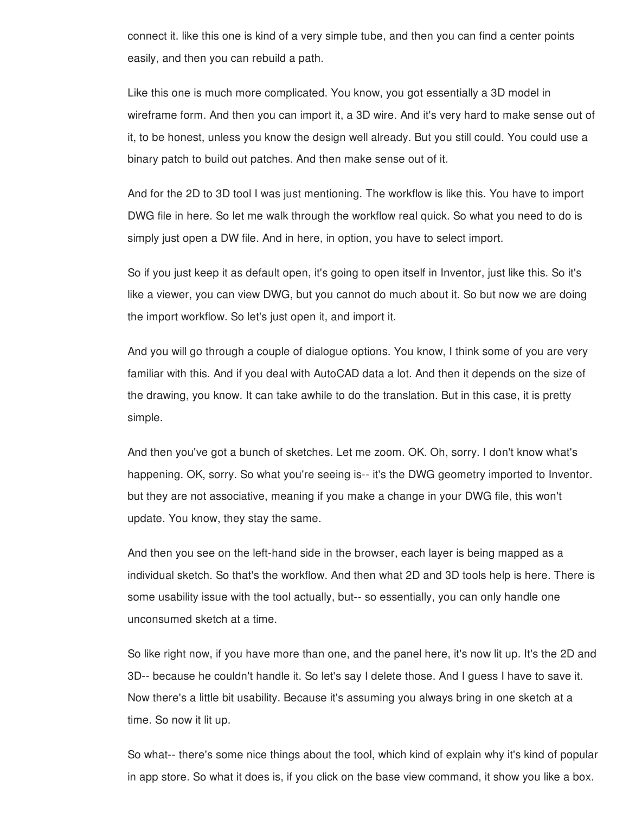connect it. like this one is kind of a very simple tube, and then you can find a center points easily, and then you can rebuild a path.

Like this one is much more complicated. You know, you got essentially a 3D model in wireframe form. And then you can import it, a 3D wire. And it's very hard to make sense out of it, to be honest, unless you know the design well already. But you still could. You could use a binary patch to build out patches. And then make sense out of it.

And for the 2D to 3D tool I was just mentioning. The workflow is like this. You have to import DWG file in here. So let me walk through the workflow real quick. So what you need to do is simply just open a DW file. And in here, in option, you have to select import.

So if you just keep it as default open, it's going to open itself in Inventor, just like this. So it's like a viewer, you can view DWG, but you cannot do much about it. So but now we are doing the import workflow. So let's just open it, and import it.

And you will go through a couple of dialogue options. You know, I think some of you are very familiar with this. And if you deal with AutoCAD data a lot. And then it depends on the size of the drawing, you know. It can take awhile to do the translation. But in this case, it is pretty simple.

And then you've got a bunch of sketches. Let me zoom. OK. Oh, sorry. I don't know what's happening. OK, sorry. So what you're seeing is-- it's the DWG geometry imported to Inventor. but they are not associative, meaning if you make a change in your DWG file, this won't update. You know, they stay the same.

And then you see on the left-hand side in the browser, each layer is being mapped as a individual sketch. So that's the workflow. And then what 2D and 3D tools help is here. There is some usability issue with the tool actually, but-- so essentially, you can only handle one unconsumed sketch at a time.

So like right now, if you have more than one, and the panel here, it's now lit up. It's the 2D and 3D-- because he couldn't handle it. So let's say I delete those. And I guess I have to save it. Now there's a little bit usability. Because it's assuming you always bring in one sketch at a time. So now it lit up.

So what-- there's some nice things about the tool, which kind of explain why it's kind of popular in app store. So what it does is, if you click on the base view command, it show you like a box.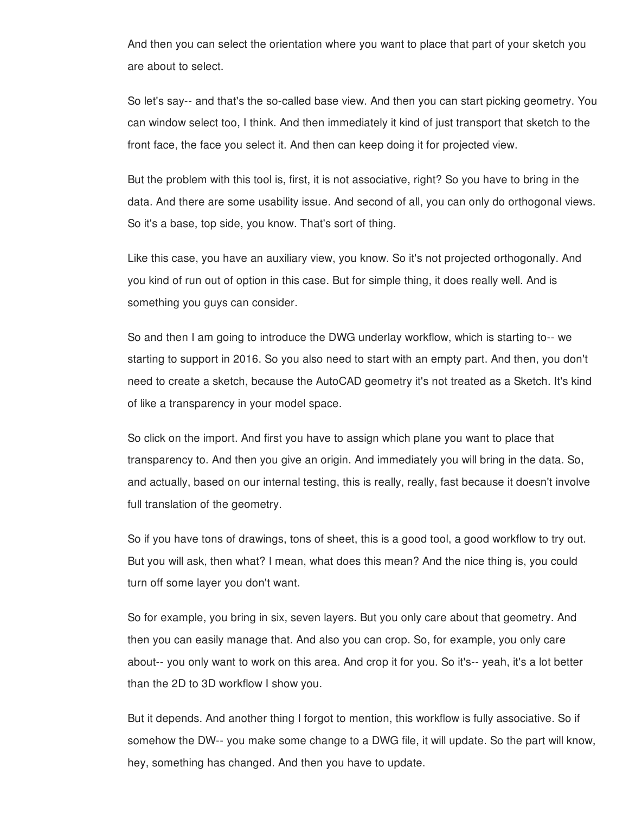And then you can select the orientation where you want to place that part of your sketch you are about to select.

So let's say-- and that's the so-called base view. And then you can start picking geometry. You can window select too, I think. And then immediately it kind of just transport that sketch to the front face, the face you select it. And then can keep doing it for projected view.

But the problem with this tool is, first, it is not associative, right? So you have to bring in the data. And there are some usability issue. And second of all, you can only do orthogonal views. So it's a base, top side, you know. That's sort of thing.

Like this case, you have an auxiliary view, you know. So it's not projected orthogonally. And you kind of run out of option in this case. But for simple thing, it does really well. And is something you guys can consider.

So and then I am going to introduce the DWG underlay workflow, which is starting to-- we starting to support in 2016. So you also need to start with an empty part. And then, you don't need to create a sketch, because the AutoCAD geometry it's not treated as a Sketch. It's kind of like a transparency in your model space.

So click on the import. And first you have to assign which plane you want to place that transparency to. And then you give an origin. And immediately you will bring in the data. So, and actually, based on our internal testing, this is really, really, fast because it doesn't involve full translation of the geometry.

So if you have tons of drawings, tons of sheet, this is a good tool, a good workflow to try out. But you will ask, then what? I mean, what does this mean? And the nice thing is, you could turn off some layer you don't want.

So for example, you bring in six, seven layers. But you only care about that geometry. And then you can easily manage that. And also you can crop. So, for example, you only care about-- you only want to work on this area. And crop it for you. So it's-- yeah, it's a lot better than the 2D to 3D workflow I show you.

But it depends. And another thing I forgot to mention, this workflow is fully associative. So if somehow the DW-- you make some change to a DWG file, it will update. So the part will know, hey, something has changed. And then you have to update.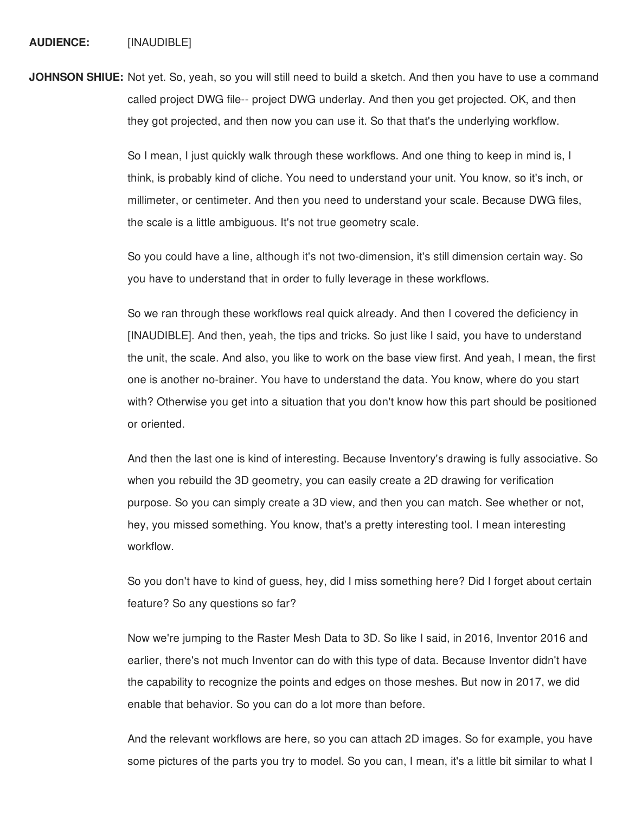**JOHNSON SHIUE:** Not yet. So, yeah, so you will still need to build a sketch. And then you have to use a command called project DWG file-- project DWG underlay. And then you get projected. OK, and then they got projected, and then now you can use it. So that that's the underlying workflow.

> So I mean, I just quickly walk through these workflows. And one thing to keep in mind is, I think, is probably kind of cliche. You need to understand your unit. You know, so it's inch, or millimeter, or centimeter. And then you need to understand your scale. Because DWG files, the scale is a little ambiguous. It's not true geometry scale.

> So you could have a line, although it's not two-dimension, it's still dimension certain way. So you have to understand that in order to fully leverage in these workflows.

So we ran through these workflows real quick already. And then I covered the deficiency in [INAUDIBLE]. And then, yeah, the tips and tricks. So just like I said, you have to understand the unit, the scale. And also, you like to work on the base view first. And yeah, I mean, the first one is another no-brainer. You have to understand the data. You know, where do you start with? Otherwise you get into a situation that you don't know how this part should be positioned or oriented.

And then the last one is kind of interesting. Because Inventory's drawing is fully associative. So when you rebuild the 3D geometry, you can easily create a 2D drawing for verification purpose. So you can simply create a 3D view, and then you can match. See whether or not, hey, you missed something. You know, that's a pretty interesting tool. I mean interesting workflow.

So you don't have to kind of guess, hey, did I miss something here? Did I forget about certain feature? So any questions so far?

Now we're jumping to the Raster Mesh Data to 3D. So like I said, in 2016, Inventor 2016 and earlier, there's not much Inventor can do with this type of data. Because Inventor didn't have the capability to recognize the points and edges on those meshes. But now in 2017, we did enable that behavior. So you can do a lot more than before.

And the relevant workflows are here, so you can attach 2D images. So for example, you have some pictures of the parts you try to model. So you can, I mean, it's a little bit similar to what I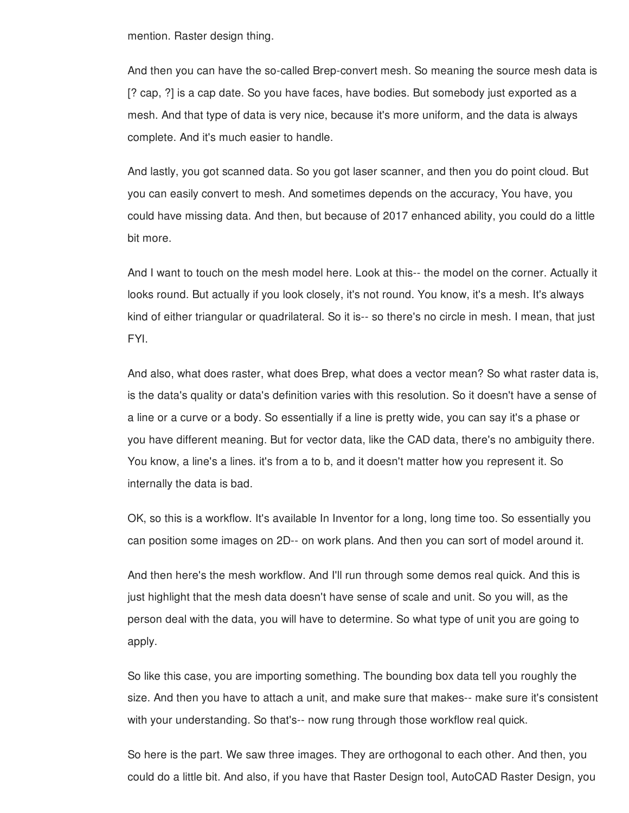mention. Raster design thing.

And then you can have the so-called Brep-convert mesh. So meaning the source mesh data is [? cap, ?] is a cap date. So you have faces, have bodies. But somebody just exported as a mesh. And that type of data is very nice, because it's more uniform, and the data is always complete. And it's much easier to handle.

And lastly, you got scanned data. So you got laser scanner, and then you do point cloud. But you can easily convert to mesh. And sometimes depends on the accuracy, You have, you could have missing data. And then, but because of 2017 enhanced ability, you could do a little bit more.

And I want to touch on the mesh model here. Look at this-- the model on the corner. Actually it looks round. But actually if you look closely, it's not round. You know, it's a mesh. It's always kind of either triangular or quadrilateral. So it is-- so there's no circle in mesh. I mean, that just FYI.

And also, what does raster, what does Brep, what does a vector mean? So what raster data is, is the data's quality or data's definition varies with this resolution. So it doesn't have a sense of a line or a curve or a body. So essentially if a line is pretty wide, you can say it's a phase or you have different meaning. But for vector data, like the CAD data, there's no ambiguity there. You know, a line's a lines. it's from a to b, and it doesn't matter how you represent it. So internally the data is bad.

OK, so this is a workflow. It's available In Inventor for a long, long time too. So essentially you can position some images on 2D-- on work plans. And then you can sort of model around it.

And then here's the mesh workflow. And I'll run through some demos real quick. And this is just highlight that the mesh data doesn't have sense of scale and unit. So you will, as the person deal with the data, you will have to determine. So what type of unit you are going to apply.

So like this case, you are importing something. The bounding box data tell you roughly the size. And then you have to attach a unit, and make sure that makes-- make sure it's consistent with your understanding. So that's-- now rung through those workflow real quick.

So here is the part. We saw three images. They are orthogonal to each other. And then, you could do a little bit. And also, if you have that Raster Design tool, AutoCAD Raster Design, you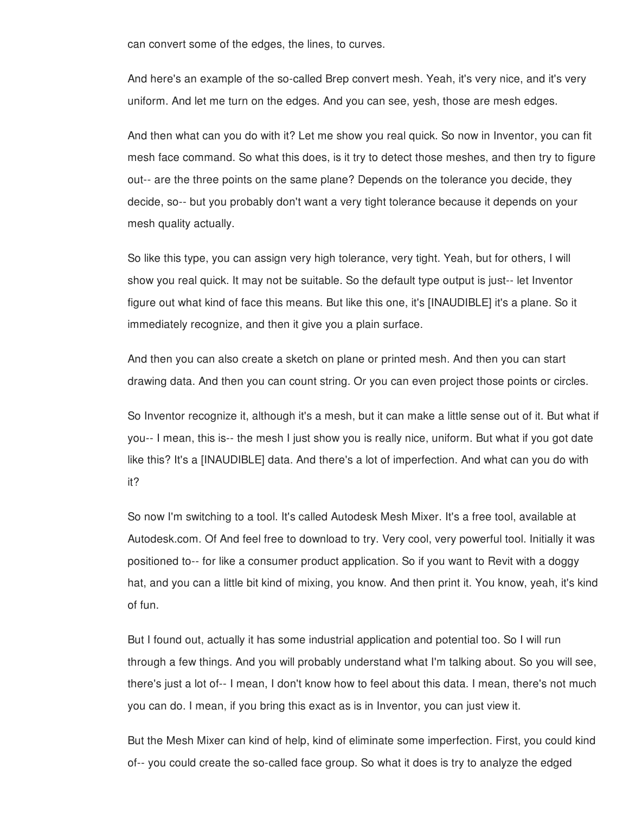can convert some of the edges, the lines, to curves.

And here's an example of the so-called Brep convert mesh. Yeah, it's very nice, and it's very uniform. And let me turn on the edges. And you can see, yesh, those are mesh edges.

And then what can you do with it? Let me show you real quick. So now in Inventor, you can fit mesh face command. So what this does, is it try to detect those meshes, and then try to figure out-- are the three points on the same plane? Depends on the tolerance you decide, they decide, so-- but you probably don't want a very tight tolerance because it depends on your mesh quality actually.

So like this type, you can assign very high tolerance, very tight. Yeah, but for others, I will show you real quick. It may not be suitable. So the default type output is just-- let Inventor figure out what kind of face this means. But like this one, it's [INAUDIBLE] it's a plane. So it immediately recognize, and then it give you a plain surface.

And then you can also create a sketch on plane or printed mesh. And then you can start drawing data. And then you can count string. Or you can even project those points or circles.

So Inventor recognize it, although it's a mesh, but it can make a little sense out of it. But what if you-- I mean, this is-- the mesh I just show you is really nice, uniform. But what if you got date like this? It's a [INAUDIBLE] data. And there's a lot of imperfection. And what can you do with it?

So now I'm switching to a tool. It's called Autodesk Mesh Mixer. It's a free tool, available at Autodesk.com. Of And feel free to download to try. Very cool, very powerful tool. Initially it was positioned to-- for like a consumer product application. So if you want to Revit with a doggy hat, and you can a little bit kind of mixing, you know. And then print it. You know, yeah, it's kind of fun.

But I found out, actually it has some industrial application and potential too. So I will run through a few things. And you will probably understand what I'm talking about. So you will see, there's just a lot of-- I mean, I don't know how to feel about this data. I mean, there's not much you can do. I mean, if you bring this exact as is in Inventor, you can just view it.

But the Mesh Mixer can kind of help, kind of eliminate some imperfection. First, you could kind of-- you could create the so-called face group. So what it does is try to analyze the edged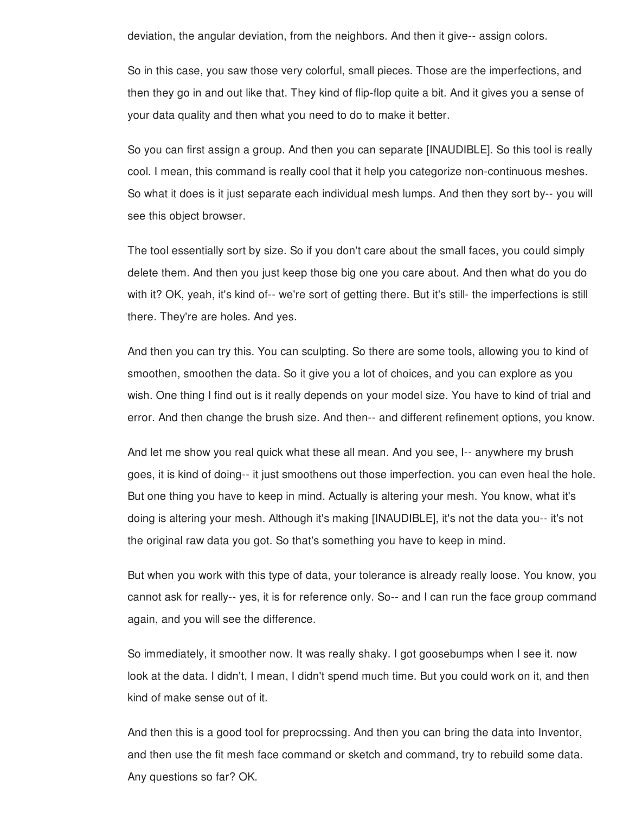deviation, the angular deviation, from the neighbors. And then it give-- assign colors.

So in this case, you saw those very colorful, small pieces. Those are the imperfections, and then they go in and out like that. They kind of flip-flop quite a bit. And it gives you a sense of your data quality and then what you need to do to make it better.

So you can first assign a group. And then you can separate [INAUDIBLE]. So this tool is really cool. I mean, this command is really cool that it help you categorize non-continuous meshes. So what it does is it just separate each individual mesh lumps. And then they sort by-- you will see this object browser.

The tool essentially sort by size. So if you don't care about the small faces, you could simply delete them. And then you just keep those big one you care about. And then what do you do with it? OK, yeah, it's kind of-- we're sort of getting there. But it's still- the imperfections is still there. They're are holes. And yes.

And then you can try this. You can sculpting. So there are some tools, allowing you to kind of smoothen, smoothen the data. So it give you a lot of choices, and you can explore as you wish. One thing I find out is it really depends on your model size. You have to kind of trial and error. And then change the brush size. And then-- and different refinement options, you know.

And let me show you real quick what these all mean. And you see, I-- anywhere my brush goes, it is kind of doing-- it just smoothens out those imperfection. you can even heal the hole. But one thing you have to keep in mind. Actually is altering your mesh. You know, what it's doing is altering your mesh. Although it's making [INAUDIBLE], it's not the data you-- it's not the original raw data you got. So that's something you have to keep in mind.

But when you work with this type of data, your tolerance is already really loose. You know, you cannot ask for really-- yes, it is for reference only. So-- and I can run the face group command again, and you will see the difference.

So immediately, it smoother now. It was really shaky. I got goosebumps when I see it. now look at the data. I didn't, I mean, I didn't spend much time. But you could work on it, and then kind of make sense out of it.

And then this is a good tool for preprocssing. And then you can bring the data into Inventor, and then use the fit mesh face command or sketch and command, try to rebuild some data. Any questions so far? OK.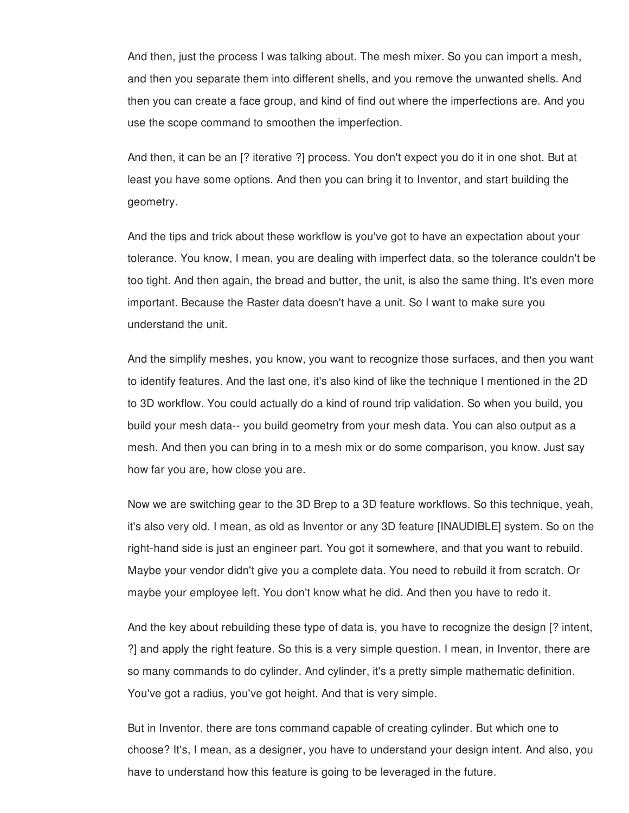And then, just the process I was talking about. The mesh mixer. So you can import a mesh, and then you separate them into different shells, and you remove the unwanted shells. And then you can create a face group, and kind of find out where the imperfections are. And you use the scope command to smoothen the imperfection.

And then, it can be an [? iterative ?] process. You don't expect you do it in one shot. But at least you have some options. And then you can bring it to Inventor, and start building the geometry.

And the tips and trick about these workflow is you've got to have an expectation about your tolerance. You know, I mean, you are dealing with imperfect data, so the tolerance couldn't be too tight. And then again, the bread and butter, the unit, is also the same thing. It's even more important. Because the Raster data doesn't have a unit. So I want to make sure you understand the unit.

And the simplify meshes, you know, you want to recognize those surfaces, and then you want to identify features. And the last one, it's also kind of like the technique I mentioned in the 2D to 3D workflow. You could actually do a kind of round trip validation. So when you build, you build your mesh data-- you build geometry from your mesh data. You can also output as a mesh. And then you can bring in to a mesh mix or do some comparison, you know. Just say how far you are, how close you are.

Now we are switching gear to the 3D Brep to a 3D feature workflows. So this technique, yeah, it's also very old. I mean, as old as Inventor or any 3D feature [INAUDIBLE] system. So on the right-hand side is just an engineer part. You got it somewhere, and that you want to rebuild. Maybe your vendor didn't give you a complete data. You need to rebuild it from scratch. Or maybe your employee left. You don't know what he did. And then you have to redo it.

And the key about rebuilding these type of data is, you have to recognize the design [? intent, ?] and apply the right feature. So this is a very simple question. I mean, in Inventor, there are so many commands to do cylinder. And cylinder, it's a pretty simple mathematic definition. You've got a radius, you've got height. And that is very simple.

But in Inventor, there are tons command capable of creating cylinder. But which one to choose? It's, I mean, as a designer, you have to understand your design intent. And also, you have to understand how this feature is going to be leveraged in the future.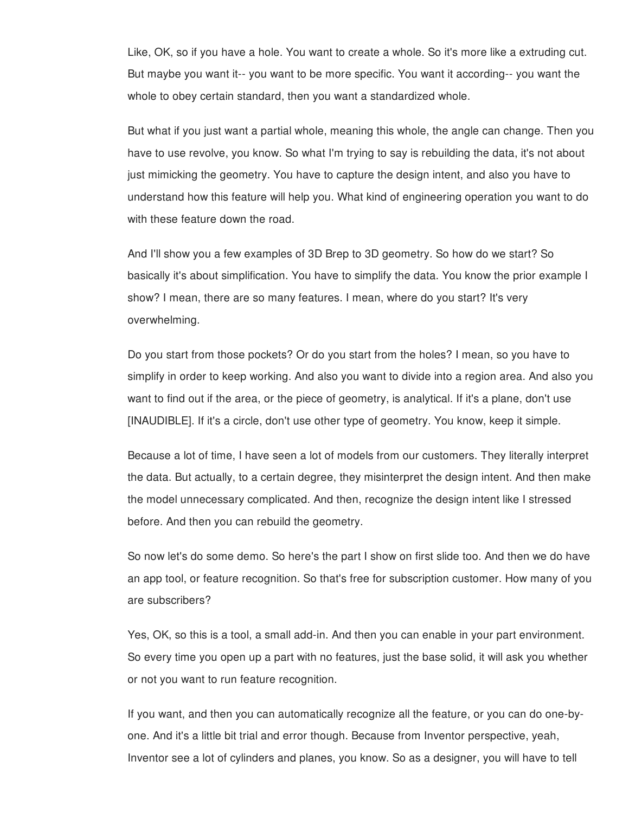Like, OK, so if you have a hole. You want to create a whole. So it's more like a extruding cut. But maybe you want it-- you want to be more specific. You want it according-- you want the whole to obey certain standard, then you want a standardized whole.

But what if you just want a partial whole, meaning this whole, the angle can change. Then you have to use revolve, you know. So what I'm trying to say is rebuilding the data, it's not about just mimicking the geometry. You have to capture the design intent, and also you have to understand how this feature will help you. What kind of engineering operation you want to do with these feature down the road.

And I'll show you a few examples of 3D Brep to 3D geometry. So how do we start? So basically it's about simplification. You have to simplify the data. You know the prior example I show? I mean, there are so many features. I mean, where do you start? It's very overwhelming.

Do you start from those pockets? Or do you start from the holes? I mean, so you have to simplify in order to keep working. And also you want to divide into a region area. And also you want to find out if the area, or the piece of geometry, is analytical. If it's a plane, don't use [INAUDIBLE]. If it's a circle, don't use other type of geometry. You know, keep it simple.

Because a lot of time, I have seen a lot of models from our customers. They literally interpret the data. But actually, to a certain degree, they misinterpret the design intent. And then make the model unnecessary complicated. And then, recognize the design intent like I stressed before. And then you can rebuild the geometry.

So now let's do some demo. So here's the part I show on first slide too. And then we do have an app tool, or feature recognition. So that's free for subscription customer. How many of you are subscribers?

Yes, OK, so this is a tool, a small add-in. And then you can enable in your part environment. So every time you open up a part with no features, just the base solid, it will ask you whether or not you want to run feature recognition.

If you want, and then you can automatically recognize all the feature, or you can do one-byone. And it's a little bit trial and error though. Because from Inventor perspective, yeah, Inventor see a lot of cylinders and planes, you know. So as a designer, you will have to tell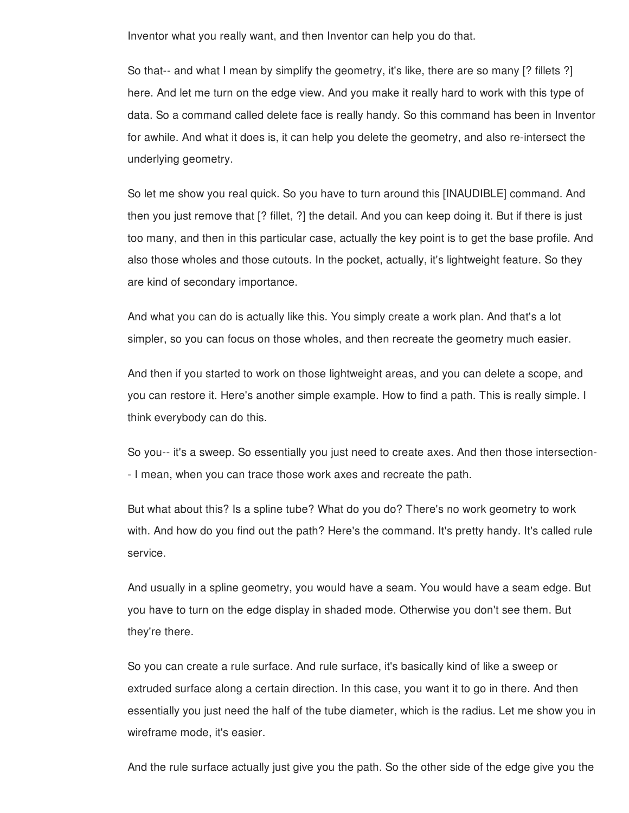Inventor what you really want, and then Inventor can help you do that.

So that-- and what I mean by simplify the geometry, it's like, there are so many [? fillets ?] here. And let me turn on the edge view. And you make it really hard to work with this type of data. So a command called delete face is really handy. So this command has been in Inventor for awhile. And what it does is, it can help you delete the geometry, and also re-intersect the underlying geometry.

So let me show you real quick. So you have to turn around this [INAUDIBLE] command. And then you just remove that [? fillet, ?] the detail. And you can keep doing it. But if there is just too many, and then in this particular case, actually the key point is to get the base profile. And also those wholes and those cutouts. In the pocket, actually, it's lightweight feature. So they are kind of secondary importance.

And what you can do is actually like this. You simply create a work plan. And that's a lot simpler, so you can focus on those wholes, and then recreate the geometry much easier.

And then if you started to work on those lightweight areas, and you can delete a scope, and you can restore it. Here's another simple example. How to find a path. This is really simple. I think everybody can do this.

So you-- it's a sweep. So essentially you just need to create axes. And then those intersection- - I mean, when you can trace those work axes and recreate the path.

But what about this? Is a spline tube? What do you do? There's no work geometry to work with. And how do you find out the path? Here's the command. It's pretty handy. It's called rule service.

And usually in a spline geometry, you would have a seam. You would have a seam edge. But you have to turn on the edge display in shaded mode. Otherwise you don't see them. But they're there.

So you can create a rule surface. And rule surface, it's basically kind of like a sweep or extruded surface along a certain direction. In this case, you want it to go in there. And then essentially you just need the half of the tube diameter, which is the radius. Let me show you in wireframe mode, it's easier.

And the rule surface actually just give you the path. So the other side of the edge give you the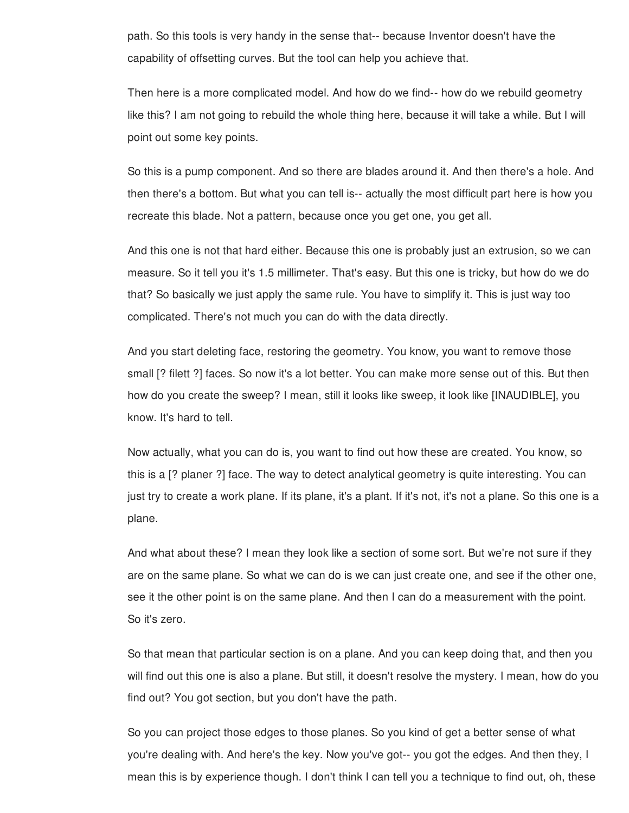path. So this tools is very handy in the sense that-- because Inventor doesn't have the capability of offsetting curves. But the tool can help you achieve that.

Then here is a more complicated model. And how do we find-- how do we rebuild geometry like this? I am not going to rebuild the whole thing here, because it will take a while. But I will point out some key points.

So this is a pump component. And so there are blades around it. And then there's a hole. And then there's a bottom. But what you can tell is-- actually the most difficult part here is how you recreate this blade. Not a pattern, because once you get one, you get all.

And this one is not that hard either. Because this one is probably just an extrusion, so we can measure. So it tell you it's 1.5 millimeter. That's easy. But this one is tricky, but how do we do that? So basically we just apply the same rule. You have to simplify it. This is just way too complicated. There's not much you can do with the data directly.

And you start deleting face, restoring the geometry. You know, you want to remove those small [? filett ?] faces. So now it's a lot better. You can make more sense out of this. But then how do you create the sweep? I mean, still it looks like sweep, it look like [INAUDIBLE], you know. It's hard to tell.

Now actually, what you can do is, you want to find out how these are created. You know, so this is a [? planer ?] face. The way to detect analytical geometry is quite interesting. You can just try to create a work plane. If its plane, it's a plant. If it's not, it's not a plane. So this one is a plane.

And what about these? I mean they look like a section of some sort. But we're not sure if they are on the same plane. So what we can do is we can just create one, and see if the other one, see it the other point is on the same plane. And then I can do a measurement with the point. So it's zero.

So that mean that particular section is on a plane. And you can keep doing that, and then you will find out this one is also a plane. But still, it doesn't resolve the mystery. I mean, how do you find out? You got section, but you don't have the path.

So you can project those edges to those planes. So you kind of get a better sense of what you're dealing with. And here's the key. Now you've got-- you got the edges. And then they, I mean this is by experience though. I don't think I can tell you a technique to find out, oh, these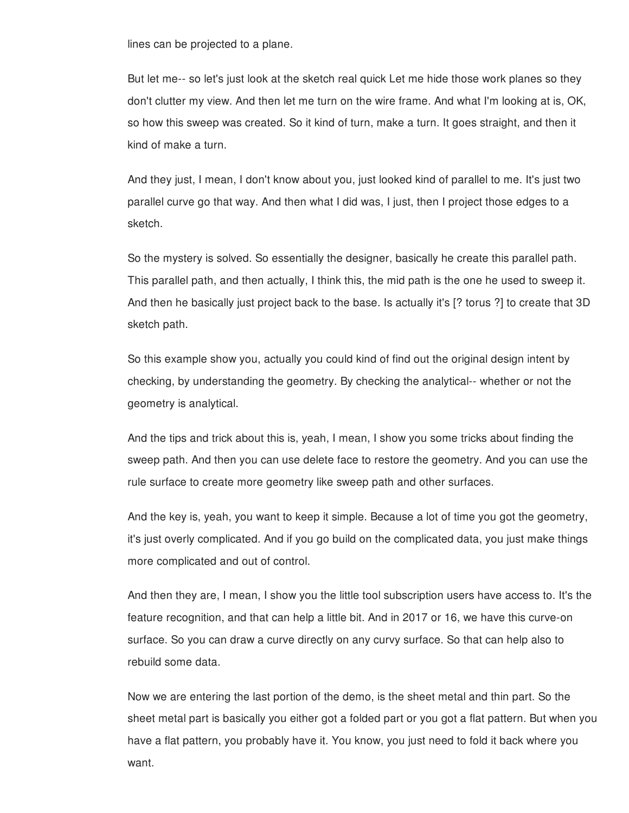lines can be projected to a plane.

But let me-- so let's just look at the sketch real quick Let me hide those work planes so they don't clutter my view. And then let me turn on the wire frame. And what I'm looking at is, OK, so how this sweep was created. So it kind of turn, make a turn. It goes straight, and then it kind of make a turn.

And they just, I mean, I don't know about you, just looked kind of parallel to me. It's just two parallel curve go that way. And then what I did was, I just, then I project those edges to a sketch.

So the mystery is solved. So essentially the designer, basically he create this parallel path. This parallel path, and then actually, I think this, the mid path is the one he used to sweep it. And then he basically just project back to the base. Is actually it's [? torus ?] to create that 3D sketch path.

So this example show you, actually you could kind of find out the original design intent by checking, by understanding the geometry. By checking the analytical-- whether or not the geometry is analytical.

And the tips and trick about this is, yeah, I mean, I show you some tricks about finding the sweep path. And then you can use delete face to restore the geometry. And you can use the rule surface to create more geometry like sweep path and other surfaces.

And the key is, yeah, you want to keep it simple. Because a lot of time you got the geometry, it's just overly complicated. And if you go build on the complicated data, you just make things more complicated and out of control.

And then they are, I mean, I show you the little tool subscription users have access to. It's the feature recognition, and that can help a little bit. And in 2017 or 16, we have this curve-on surface. So you can draw a curve directly on any curvy surface. So that can help also to rebuild some data.

Now we are entering the last portion of the demo, is the sheet metal and thin part. So the sheet metal part is basically you either got a folded part or you got a flat pattern. But when you have a flat pattern, you probably have it. You know, you just need to fold it back where you want.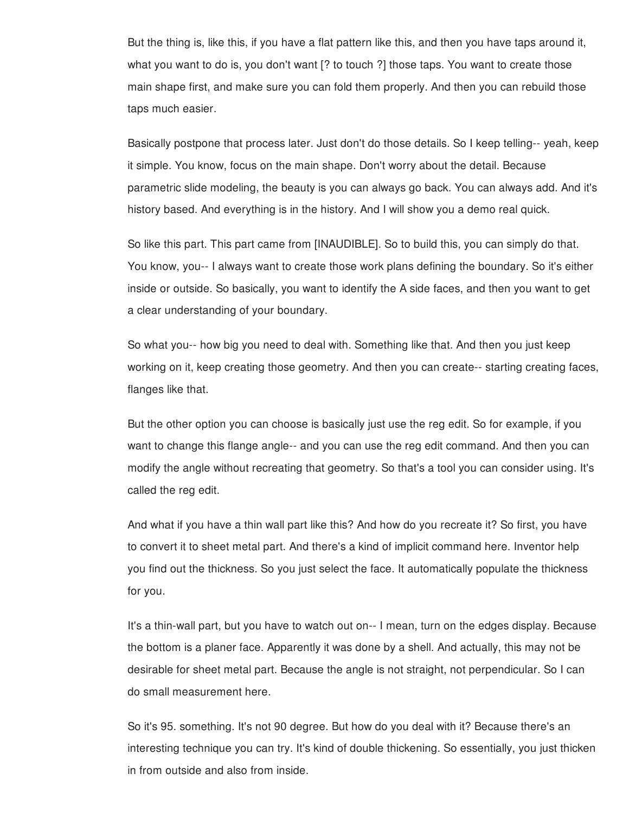But the thing is, like this, if you have a flat pattern like this, and then you have taps around it, what you want to do is, you don't want [? to touch ?] those taps. You want to create those main shape first, and make sure you can fold them properly. And then you can rebuild those taps much easier.

Basically postpone that process later. Just don't do those details. So I keep telling-- yeah, keep it simple. You know, focus on the main shape. Don't worry about the detail. Because parametric slide modeling, the beauty is you can always go back. You can always add. And it's history based. And everything is in the history. And I will show you a demo real quick.

So like this part. This part came from [INAUDIBLE]. So to build this, you can simply do that. You know, you-- I always want to create those work plans defining the boundary. So it's either inside or outside. So basically, you want to identify the A side faces, and then you want to get a clear understanding of your boundary.

So what you-- how big you need to deal with. Something like that. And then you just keep working on it, keep creating those geometry. And then you can create-- starting creating faces, flanges like that.

But the other option you can choose is basically just use the reg edit. So for example, if you want to change this flange angle-- and you can use the reg edit command. And then you can modify the angle without recreating that geometry. So that's a tool you can consider using. It's called the reg edit.

And what if you have a thin wall part like this? And how do you recreate it? So first, you have to convert it to sheet metal part. And there's a kind of implicit command here. Inventor help you find out the thickness. So you just select the face. It automatically populate the thickness for you.

It's a thin-wall part, but you have to watch out on-- I mean, turn on the edges display. Because the bottom is a planer face. Apparently it was done by a shell. And actually, this may not be desirable for sheet metal part. Because the angle is not straight, not perpendicular. So I can do small measurement here.

So it's 95. something. It's not 90 degree. But how do you deal with it? Because there's an interesting technique you can try. It's kind of double thickening. So essentially, you just thicken in from outside and also from inside.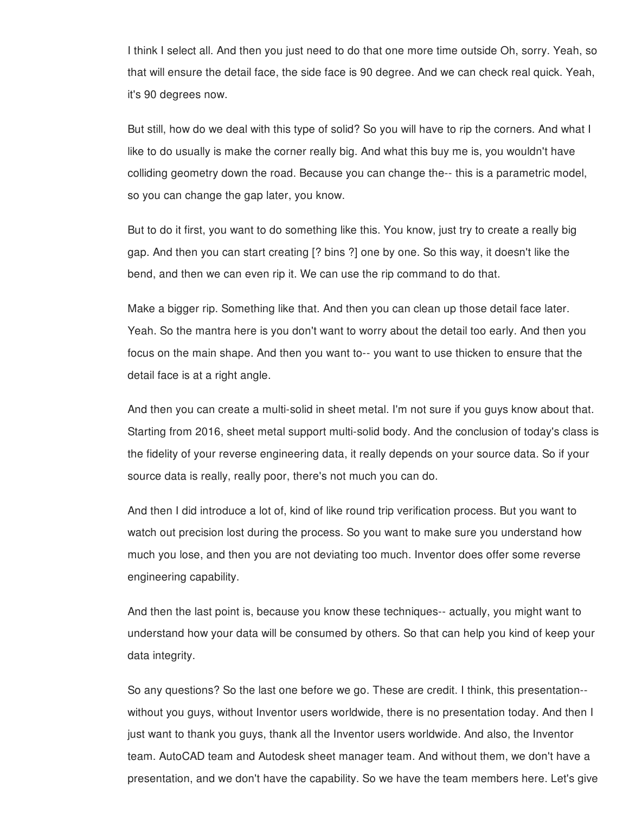I think I select all. And then you just need to do that one more time outside Oh, sorry. Yeah, so that will ensure the detail face, the side face is 90 degree. And we can check real quick. Yeah, it's 90 degrees now.

But still, how do we deal with this type of solid? So you will have to rip the corners. And what I like to do usually is make the corner really big. And what this buy me is, you wouldn't have colliding geometry down the road. Because you can change the-- this is a parametric model, so you can change the gap later, you know.

But to do it first, you want to do something like this. You know, just try to create a really big gap. And then you can start creating [? bins ?] one by one. So this way, it doesn't like the bend, and then we can even rip it. We can use the rip command to do that.

Make a bigger rip. Something like that. And then you can clean up those detail face later. Yeah. So the mantra here is you don't want to worry about the detail too early. And then you focus on the main shape. And then you want to-- you want to use thicken to ensure that the detail face is at a right angle.

And then you can create a multi-solid in sheet metal. I'm not sure if you guys know about that. Starting from 2016, sheet metal support multi-solid body. And the conclusion of today's class is the fidelity of your reverse engineering data, it really depends on your source data. So if your source data is really, really poor, there's not much you can do.

And then I did introduce a lot of, kind of like round trip verification process. But you want to watch out precision lost during the process. So you want to make sure you understand how much you lose, and then you are not deviating too much. Inventor does offer some reverse engineering capability.

And then the last point is, because you know these techniques-- actually, you might want to understand how your data will be consumed by others. So that can help you kind of keep your data integrity.

So any questions? So the last one before we go. These are credit. I think, this presentation- without you guys, without Inventor users worldwide, there is no presentation today. And then I just want to thank you guys, thank all the Inventor users worldwide. And also, the Inventor team. AutoCAD team and Autodesk sheet manager team. And without them, we don't have a presentation, and we don't have the capability. So we have the team members here. Let's give